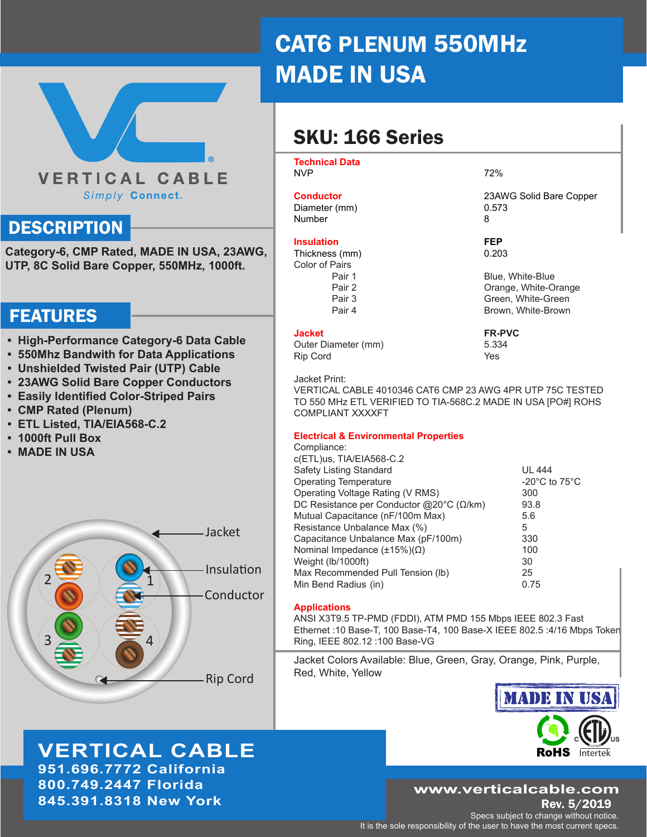# **VERTICAL CABLE** Simply Connect.

## **DESCRIPTION**

**Category-6, CMP Rated, MADE IN USA, 23AWG, UTP, 8C Solid Bare Copper, 550MHz, 1000ft.**

### FEATURES

- **• High-Performance Category-6 Data Cable**
- **• 550Mhz Bandwith for Data Applications**
- **• Unshielded Twisted Pair (UTP) Cable**
- **• 23AWG Solid Bare Copper Conductors**
- **• Easily Identified Color-Striped Pairs**
- **• CMP Rated (Plenum)**
- **• ETL Listed, TIA/EIA568-C.2**
- **• 1000ft Pull Box**
- **• MADE IN USA**



**VERTICAL CABLE**

**951.696.7772 California 800.749.2447 Florida 845.391.8318 New York**

# CAT6 PLENUM 550MHz MADE IN USA

# SKU: 166 Series

**Technical Data** 

NVP 22%

# **Conductor** 23AWG Solid Bare Copper<br>Diameter (mm) 0.573

Diameter (mm) Number 8

#### **Insulation FEP**

Thickness (mm) 0.203 Color of Pairs Pair 1 Blue, White-Blue Pair 2 **Dramage, White-Orange** Pair 3 Green, White-Green Pair 4 Brown, White-Brown, White-Brown

**Jacket FR-PVC** Outer Diameter (mm) 5.334 Rip Cord **Yes** 

Jacket Print:

VERTICAL CABLE 4010346 CAT6 CMP 23 AWG 4PR UTP 75C TESTED TO 550 MHz ETL VERIFIED TO TIA-568C.2 MADE IN USA [PO#] ROHS COMPLIANT XXXXFT

#### **Electrical & Environmental Properties** Compliance:

| Compliance.                                       |                                     |
|---------------------------------------------------|-------------------------------------|
| c(ETL)us, TIA/EIA568-C.2                          |                                     |
| Safety Listing Standard                           | <b>UL 444</b>                       |
| <b>Operating Temperature</b>                      | -20 $^{\circ}$ C to 75 $^{\circ}$ C |
| Operating Voltage Rating (V RMS)                  | 300                                 |
| DC Resistance per Conductor @20°C ( $\Omega$ /km) | 93.8                                |
| Mutual Capacitance (nF/100m Max)                  | 5.6                                 |
| Resistance Unbalance Max (%)                      | 5                                   |
| Capacitance Unbalance Max (pF/100m)               | 330                                 |
| Nominal Impedance $(\pm 15\%)(\Omega)$            | 100                                 |
| Weight (lb/1000ft)                                | 30                                  |
| Max Recommended Pull Tension (lb)                 | 25                                  |
| Min Bend Radius (in)                              | 0.75                                |
|                                                   |                                     |

### **Applications**

ANSI X3T9.5 TP-PMD (FDDI), ATM PMD 155 Mbps IEEE 802.3 Fast Ethernet :10 Base-T, 100 Base-T4, 100 Base-X IEEE 802.5 :4/16 Mbps Token Ring, IEEE 802.12 :100 Base-VG

Jacket Colors Available: Blue, Green, Gray, Orange, Pink, Purple, Red, White, Yellow



### **www.verticalcable.com**

Rev. 5/2019 Specs subject to change without notice.

It is the sole responsibility of the user to have the most current specs.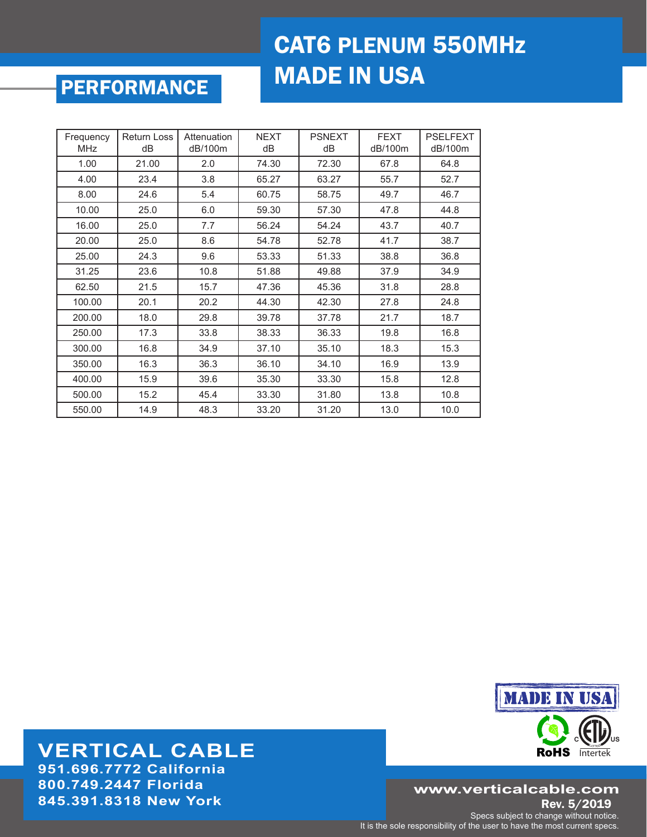# CAT6 PLENUM 550MHz MADE IN USA

# PERFORMANCE

| Frequency<br><b>MHz</b> | <b>Return Loss</b><br>dB | Attenuation<br>dB/100m | <b>NEXT</b><br>dB | <b>PSNEXT</b><br>dB | <b>FEXT</b><br>dB/100m | <b>PSELFEXT</b><br>dB/100m |
|-------------------------|--------------------------|------------------------|-------------------|---------------------|------------------------|----------------------------|
| 1.00                    | 21.00                    | 2.0                    | 74.30             | 72.30               | 67.8                   | 64.8                       |
| 4.00                    | 23.4                     | 3.8                    | 65.27             | 63.27               | 55.7                   | 52.7                       |
| 8.00                    | 24.6                     | 5.4                    | 60.75             | 58.75               | 49.7                   | 46.7                       |
| 10.00                   | 25.0                     | 6.0                    | 59.30             | 57.30               | 47.8                   | 44.8                       |
| 16.00                   | 25.0                     | 7.7                    | 56.24             | 54.24               | 43.7                   | 40.7                       |
| 20.00                   | 25.0                     | 8.6                    | 54.78             | 52.78               | 41.7                   | 38.7                       |
| 25.00                   | 24.3                     | 9.6                    | 53.33             | 51.33               | 38.8                   | 36.8                       |
| 31.25                   | 23.6                     | 10.8                   | 51.88             | 49.88               | 37.9                   | 34.9                       |
| 62.50                   | 21.5                     | 15.7                   | 47.36             | 45.36               | 31.8                   | 28.8                       |
| 100.00                  | 20.1                     | 20.2                   | 44.30             | 42.30               | 27.8                   | 24.8                       |
| 200.00                  | 18.0                     | 29.8                   | 39.78             | 37.78               | 21.7                   | 18.7                       |
| 250.00                  | 17.3                     | 33.8                   | 38.33             | 36.33               | 19.8                   | 16.8                       |
| 300.00                  | 16.8                     | 34.9                   | 37.10             | 35.10               | 18.3                   | 15.3                       |
| 350.00                  | 16.3                     | 36.3                   | 36.10             | 34.10               | 16.9                   | 13.9                       |
| 400.00                  | 15.9                     | 39.6                   | 35.30             | 33.30               | 15.8                   | 12.8                       |
| 500.00                  | 15.2                     | 45.4                   | 33.30             | 31.80               | 13.8                   | 10.8                       |
| 550.00                  | 14.9                     | 48.3                   | 33.20             | 31.20               | 13.0                   | 10.0                       |

# **MADE IN USA C US RoHS** Intertek

### **www.verticalcable.com**

Rev. 5/2019 Specs subject to change without notice. It is the sole responsibility of the user to have the most current specs.

### **VERTICAL CABLE 951.696.7772 California**

**800.749.2447 Florida 845.391.8318 New York**